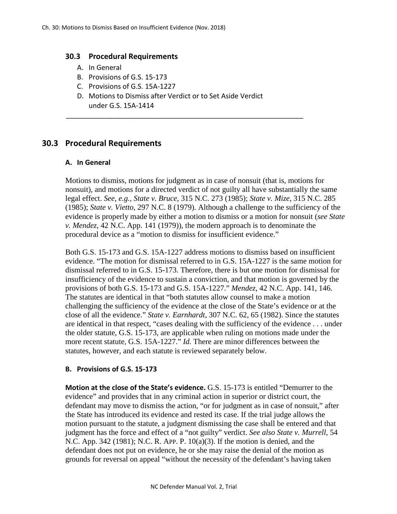### **30.3 Procedural Requirements**

- A. In General
- B. Provisions of G.S. 15-173
- C. Provisions of G.S. 15A-1227
- D. Motions to Dismiss after Verdict or to Set Aside Verdict under G.S. 15A-1414

\_\_\_\_\_\_\_\_\_\_\_\_\_\_\_\_\_\_\_\_\_\_\_\_\_\_\_\_\_\_\_\_\_\_\_\_\_\_\_\_\_\_\_\_\_\_\_\_\_\_\_\_\_\_\_\_\_\_\_\_\_

## **30.3 Procedural Requirements**

#### **A. In General**

Motions to dismiss, motions for judgment as in case of nonsuit (that is, motions for nonsuit), and motions for a directed verdict of not guilty all have substantially the same legal effect. *See, e.g., State v. Bruce*, 315 N.C. 273 (1985); *State v. Mize*, 315 N.C. 285 (1985); *State v. Vietto*, 297 N.C. 8 (1979). Although a challenge to the sufficiency of the evidence is properly made by either a motion to dismiss or a motion for nonsuit (*see State v. Mendez*, 42 N.C. App. 141 (1979)), the modern approach is to denominate the procedural device as a "motion to dismiss for insufficient evidence."

Both G.S. 15-173 and G.S. 15A-1227 address motions to dismiss based on insufficient evidence. "The motion for dismissal referred to in G.S. 15A-1227 is the same motion for dismissal referred to in G.S. 15-173. Therefore, there is but one motion for dismissal for insufficiency of the evidence to sustain a conviction, and that motion is governed by the provisions of both G.S. 15-173 and G.S. 15A-1227." *Mendez*, 42 N.C. App. 141, 146. The statutes are identical in that "both statutes allow counsel to make a motion challenging the sufficiency of the evidence at the close of the State's evidence or at the close of all the evidence." *State v. Earnhardt*, 307 N.C. 62, 65 (1982). Since the statutes are identical in that respect, "cases dealing with the sufficiency of the evidence . . . under the older statute, G.S. 15-173, are applicable when ruling on motions made under the more recent statute, G.S. 15A-1227." *Id.* There are minor differences between the statutes, however, and each statute is reviewed separately below.

### **B. Provisions of G.S. 15-173**

**Motion at the close of the State's evidence.** G.S. 15-173 is entitled "Demurrer to the evidence" and provides that in any criminal action in superior or district court, the defendant may move to dismiss the action, "or for judgment as in case of nonsuit," after the State has introduced its evidence and rested its case. If the trial judge allows the motion pursuant to the statute, a judgment dismissing the case shall be entered and that judgment has the force and effect of a "not guilty" verdict. *See also State v. Murrell*, 54 N.C. App. 342 (1981); N.C. R. APP. P. 10(a)(3). If the motion is denied, and the defendant does not put on evidence, he or she may raise the denial of the motion as grounds for reversal on appeal "without the necessity of the defendant's having taken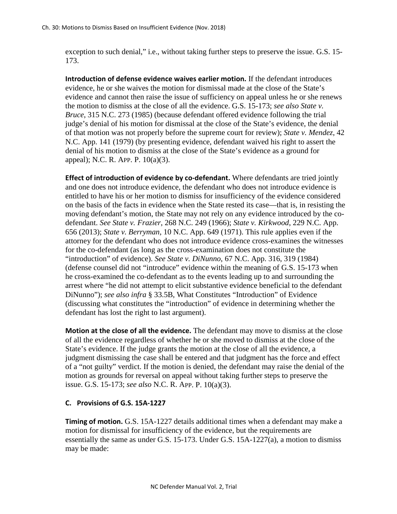exception to such denial," i.e., without taking further steps to preserve the issue. G.S. 15- 173.

**Introduction of defense evidence waives earlier motion.** If the defendant introduces evidence, he or she waives the motion for dismissal made at the close of the State's evidence and cannot then raise the issue of sufficiency on appeal unless he or she renews the motion to dismiss at the close of all the evidence. G.S. 15-173; *see also State v. Bruce*, 315 N.C. 273 (1985) (because defendant offered evidence following the trial judge's denial of his motion for dismissal at the close of the State's evidence, the denial of that motion was not properly before the supreme court for review); *State v. Mendez*, 42 N.C. App. 141 (1979) (by presenting evidence, defendant waived his right to assert the denial of his motion to dismiss at the close of the State's evidence as a ground for appeal); N.C. R. APP. P. 10(a)(3).

**Effect of introduction of evidence by co-defendant.** Where defendants are tried jointly and one does not introduce evidence, the defendant who does not introduce evidence is entitled to have his or her motion to dismiss for insufficiency of the evidence considered on the basis of the facts in evidence when the State rested its case—that is, in resisting the moving defendant's motion, the State may not rely on any evidence introduced by the codefendant. *See State v. Frazier*, 268 N.C. 249 (1966); *State v. Kirkwood*, 229 N.C. App. 656 (2013); *State v. Berryman*, 10 N.C. App. 649 (1971). This rule applies even if the attorney for the defendant who does not introduce evidence cross-examines the witnesses for the co-defendant (as long as the cross-examination does not constitute the "introduction" of evidence). *See State v. DiNunno*, 67 N.C. App. 316, 319 (1984) (defense counsel did not "introduce" evidence within the meaning of G.S. 15-173 when he cross-examined the co-defendant as to the events leading up to and surrounding the arrest where "he did not attempt to elicit substantive evidence beneficial to the defendant DiNunno"); *see also infra* § 33.5B, What Constitutes "Introduction" of Evidence (discussing what constitutes the "introduction" of evidence in determining whether the defendant has lost the right to last argument).

**Motion at the close of all the evidence.** The defendant may move to dismiss at the close of all the evidence regardless of whether he or she moved to dismiss at the close of the State's evidence. If the judge grants the motion at the close of all the evidence, a judgment dismissing the case shall be entered and that judgment has the force and effect of a "not guilty" verdict. If the motion is denied, the defendant may raise the denial of the motion as grounds for reversal on appeal without taking further steps to preserve the issue. G.S. 15-173; *see also* N.C. R. APP. P. 10(a)(3).

# **C. Provisions of G.S. 15A-1227**

**Timing of motion.** G.S. 15A-1227 details additional times when a defendant may make a motion for dismissal for insufficiency of the evidence, but the requirements are essentially the same as under G.S.  $15-173$ . Under G.S.  $15A-1227(a)$ , a motion to dismiss may be made: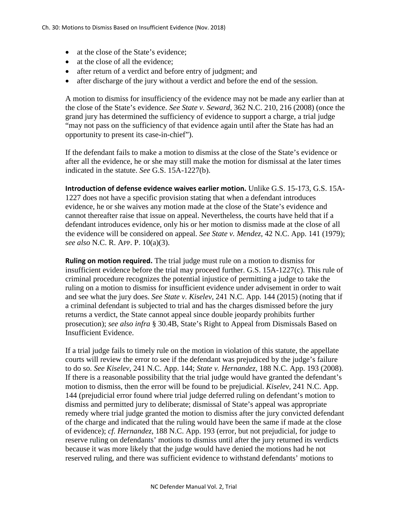- at the close of the State's evidence;
- at the close of all the evidence:
- after return of a verdict and before entry of judgment; and
- after discharge of the jury without a verdict and before the end of the session.

A motion to dismiss for insufficiency of the evidence may not be made any earlier than at the close of the State's evidence. *See State v. Seward*, 362 N.C. 210, 216 (2008) (once the grand jury has determined the sufficiency of evidence to support a charge, a trial judge "may not pass on the sufficiency of that evidence again until after the State has had an opportunity to present its case-in-chief").

If the defendant fails to make a motion to dismiss at the close of the State's evidence or after all the evidence, he or she may still make the motion for dismissal at the later times indicated in the statute. *See* G.S. 15A-1227(b).

**Introduction of defense evidence waives earlier motion.** Unlike G.S. 15-173, G.S. 15A-1227 does not have a specific provision stating that when a defendant introduces evidence, he or she waives any motion made at the close of the State's evidence and cannot thereafter raise that issue on appeal. Nevertheless, the courts have held that if a defendant introduces evidence, only his or her motion to dismiss made at the close of all the evidence will be considered on appeal. *See State v. Mendez*, 42 N.C. App. 141 (1979); *see also* N.C. R. APP. P. 10(a)(3).

**Ruling on motion required.** The trial judge must rule on a motion to dismiss for insufficient evidence before the trial may proceed further. G.S. 15A-1227(c). This rule of criminal procedure recognizes the potential injustice of permitting a judge to take the ruling on a motion to dismiss for insufficient evidence under advisement in order to wait and see what the jury does. *See State v. Kiselev*, 241 N.C. App. 144 (2015) (noting that if a criminal defendant is subjected to trial and has the charges dismissed before the jury returns a verdict, the State cannot appeal since double jeopardy prohibits further prosecution); *see also infra* § 30.4B, State's Right to Appeal from Dismissals Based on Insufficient Evidence.

If a trial judge fails to timely rule on the motion in violation of this statute, the appellate courts will review the error to see if the defendant was prejudiced by the judge's failure to do so. *See Kiselev*, 241 N.C. App. 144; *State v. Hernandez*, 188 N.C. App. 193 (2008). If there is a reasonable possibility that the trial judge would have granted the defendant's motion to dismiss, then the error will be found to be prejudicial. *Kiselev*, 241 N.C. App. 144 (prejudicial error found where trial judge deferred ruling on defendant's motion to dismiss and permitted jury to deliberate; dismissal of State's appeal was appropriate remedy where trial judge granted the motion to dismiss after the jury convicted defendant of the charge and indicated that the ruling would have been the same if made at the close of evidence); *cf. Hernandez*, 188 N.C. App. 193 (error, but not prejudicial, for judge to reserve ruling on defendants' motions to dismiss until after the jury returned its verdicts because it was more likely that the judge would have denied the motions had he not reserved ruling, and there was sufficient evidence to withstand defendants' motions to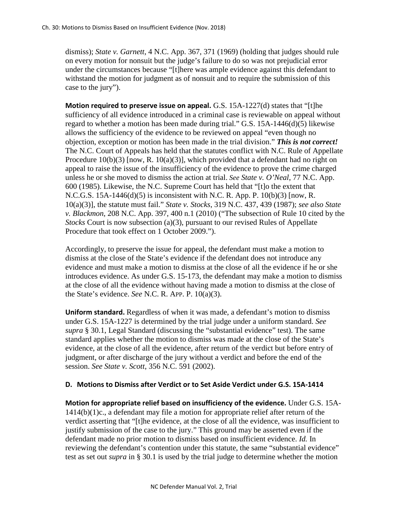dismiss); *State v. Garnett*, 4 N.C. App. 367, 371 (1969) (holding that judges should rule on every motion for nonsuit but the judge's failure to do so was not prejudicial error under the circumstances because "[t]here was ample evidence against this defendant to withstand the motion for judgment as of nonsuit and to require the submission of this case to the jury").

**Motion required to preserve issue on appeal.** G.S. 15A-1227(d) states that "[t]he sufficiency of all evidence introduced in a criminal case is reviewable on appeal without regard to whether a motion has been made during trial." G.S. 15A-1446(d) $(5)$  likewise allows the sufficiency of the evidence to be reviewed on appeal "even though no objection, exception or motion has been made in the trial division." *This is not correct!* The N.C. Court of Appeals has held that the statutes conflict with N.C. Rule of Appellate Procedure  $10(b)(3)$  [now, R. 10(a)(3)], which provided that a defendant had no right on appeal to raise the issue of the insufficiency of the evidence to prove the crime charged unless he or she moved to dismiss the action at trial. *See State v. O'Neal*, 77 N.C. App. 600 (1985). Likewise, the N.C. Supreme Court has held that "[t]o the extent that N.C.G.S. 15A-1446(d)(5) is inconsistent with N.C. R. App. P. 10(b)(3) [now, R. 10(a)(3)], the statute must fail." *State v. Stocks*, 319 N.C. 437, 439 (1987); *see also State v. Blackmon*, 208 N.C. App. 397, 400 n.1 (2010) ("The subsection of Rule 10 cited by the *Stocks* Court is now subsection (a)(3), pursuant to our revised Rules of Appellate Procedure that took effect on 1 October 2009.").

Accordingly, to preserve the issue for appeal, the defendant must make a motion to dismiss at the close of the State's evidence if the defendant does not introduce any evidence and must make a motion to dismiss at the close of all the evidence if he or she introduces evidence. As under G.S. 15-173, the defendant may make a motion to dismiss at the close of all the evidence without having made a motion to dismiss at the close of the State's evidence. *See* N.C. R. APP. P. 10(a)(3).

**Uniform standard.** Regardless of when it was made, a defendant's motion to dismiss under G.S. 15A-1227 is determined by the trial judge under a uniform standard. *See supra* § 30.1, Legal Standard (discussing the "substantial evidence" test). The same standard applies whether the motion to dismiss was made at the close of the State's evidence, at the close of all the evidence, after return of the verdict but before entry of judgment, or after discharge of the jury without a verdict and before the end of the session. *See State v. Scott*, 356 N.C. 591 (2002).

## **D. Motions to Dismiss after Verdict or to Set Aside Verdict under G.S. 15A-1414**

**Motion for appropriate relief based on insufficiency of the evidence.** Under G.S. 15A- $1414(b)(1)c$ , a defendant may file a motion for appropriate relief after return of the verdict asserting that "[t]he evidence, at the close of all the evidence, was insufficient to justify submission of the case to the jury." This ground may be asserted even if the defendant made no prior motion to dismiss based on insufficient evidence. *Id.* In reviewing the defendant's contention under this statute, the same "substantial evidence" test as set out *supra* in § 30.1 is used by the trial judge to determine whether the motion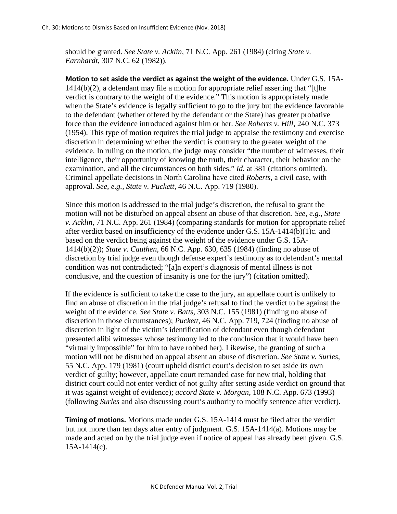should be granted. *See State v. Acklin*, 71 N.C. App. 261 (1984) (citing *State v. Earnhardt*, 307 N.C. 62 (1982)).

**Motion to set aside the verdict as against the weight of the evidence.** Under G.S. 15A-1414(b)(2), a defendant may file a motion for appropriate relief asserting that "[t]he verdict is contrary to the weight of the evidence." This motion is appropriately made when the State's evidence is legally sufficient to go to the jury but the evidence favorable to the defendant (whether offered by the defendant or the State) has greater probative force than the evidence introduced against him or her. *See Roberts v. Hill*, 240 N.C. 373 (1954). This type of motion requires the trial judge to appraise the testimony and exercise discretion in determining whether the verdict is contrary to the greater weight of the evidence. In ruling on the motion, the judge may consider "the number of witnesses, their intelligence, their opportunity of knowing the truth, their character, their behavior on the examination, and all the circumstances on both sides." *Id.* at 381 (citations omitted). Criminal appellate decisions in North Carolina have cited *Roberts*, a civil case, with approval. *See, e.g., State v. Puckett*, 46 N.C. App. 719 (1980).

Since this motion is addressed to the trial judge's discretion, the refusal to grant the motion will not be disturbed on appeal absent an abuse of that discretion. *See, e.g., State v. Acklin*, 71 N.C. App. 261 (1984) (comparing standards for motion for appropriate relief after verdict based on insufficiency of the evidence under G.S. 15A-1414(b)(1)c. and based on the verdict being against the weight of the evidence under G.S. 15A-1414(b)(2)); *State v. Cauthen*, 66 N.C. App. 630, 635 (1984) (finding no abuse of discretion by trial judge even though defense expert's testimony as to defendant's mental condition was not contradicted; "[a]n expert's diagnosis of mental illness is not conclusive, and the question of insanity is one for the jury") (citation omitted).

If the evidence is sufficient to take the case to the jury, an appellate court is unlikely to find an abuse of discretion in the trial judge's refusal to find the verdict to be against the weight of the evidence. *See State v. Batts*, 303 N.C. 155 (1981) (finding no abuse of discretion in those circumstances); *Puckett*, 46 N.C. App. 719, 724 (finding no abuse of discretion in light of the victim's identification of defendant even though defendant presented alibi witnesses whose testimony led to the conclusion that it would have been "virtually impossible" for him to have robbed her). Likewise, the granting of such a motion will not be disturbed on appeal absent an abuse of discretion. *See State v. Surles*, 55 N.C. App. 179 (1981) (court upheld district court's decision to set aside its own verdict of guilty; however, appellate court remanded case for new trial, holding that district court could not enter verdict of not guilty after setting aside verdict on ground that it was against weight of evidence); *accord State v. Morgan*, 108 N.C. App. 673 (1993) (following *Surles* and also discussing court's authority to modify sentence after verdict).

**Timing of motions.** Motions made under G.S. 15A-1414 must be filed after the verdict but not more than ten days after entry of judgment. G.S. 15A-1414(a). Motions may be made and acted on by the trial judge even if notice of appeal has already been given. G.S. 15A-1414(c).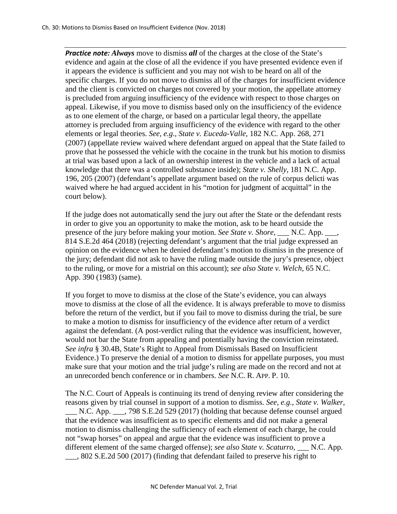*Practice note: Always* move to dismiss *all* of the charges at the close of the State's evidence and again at the close of all the evidence if you have presented evidence even if it appears the evidence is sufficient and you may not wish to be heard on all of the specific charges. If you do not move to dismiss all of the charges for insufficient evidence and the client is convicted on charges not covered by your motion, the appellate attorney is precluded from arguing insufficiency of the evidence with respect to those charges on appeal. Likewise, if you move to dismiss based only on the insufficiency of the evidence as to one element of the charge, or based on a particular legal theory, the appellate attorney is precluded from arguing insufficiency of the evidence with regard to the other elements or legal theories. *See, e.g., State v. Euceda-Valle*, 182 N.C. App. 268, 271 (2007) (appellate review waived where defendant argued on appeal that the State failed to prove that he possessed the vehicle with the cocaine in the trunk but his motion to dismiss at trial was based upon a lack of an ownership interest in the vehicle and a lack of actual knowledge that there was a controlled substance inside); *State v. Shelly*, 181 N.C. App. 196, 205 (2007) (defendant's appellate argument based on the rule of corpus delicti was waived where he had argued accident in his "motion for judgment of acquittal" in the court below).

If the judge does not automatically send the jury out after the State or the defendant rests in order to give you an opportunity to make the motion, ask to be heard outside the presence of the jury before making your motion. *See State v. Shore*, \_\_\_ N.C. App. \_\_\_, 814 S.E.2d 464 (2018) (rejecting defendant's argument that the trial judge expressed an opinion on the evidence when he denied defendant's motion to dismiss in the presence of the jury; defendant did not ask to have the ruling made outside the jury's presence, object to the ruling, or move for a mistrial on this account); *see also State v. Welch*, 65 N.C. App. 390 (1983) (same).

If you forget to move to dismiss at the close of the State's evidence, you can always move to dismiss at the close of all the evidence. It is always preferable to move to dismiss before the return of the verdict, but if you fail to move to dismiss during the trial, be sure to make a motion to dismiss for insufficiency of the evidence after return of a verdict against the defendant. (A post-verdict ruling that the evidence was insufficient, however, would not bar the State from appealing and potentially having the conviction reinstated. *See infra* § 30.4B, State's Right to Appeal from Dismissals Based on Insufficient Evidence.) To preserve the denial of a motion to dismiss for appellate purposes, you must make sure that your motion and the trial judge's ruling are made on the record and not at an unrecorded bench conference or in chambers. *See* N.C. R. APP. P. 10.

The N.C. Court of Appeals is continuing its trend of denying review after considering the reasons given by trial counsel in support of a motion to dismiss. *See, e.g., State v. Walker*, \_\_\_ N.C. App. \_\_\_, 798 S.E.2d 529 (2017) (holding that because defense counsel argued that the evidence was insufficient as to specific elements and did not make a general motion to dismiss challenging the sufficiency of each element of each charge, he could not "swap horses" on appeal and argue that the evidence was insufficient to prove a different element of the same charged offense); *see also State v. Scaturro*, \_\_\_ N.C. App. \_\_\_, 802 S.E.2d 500 (2017) (finding that defendant failed to preserve his right to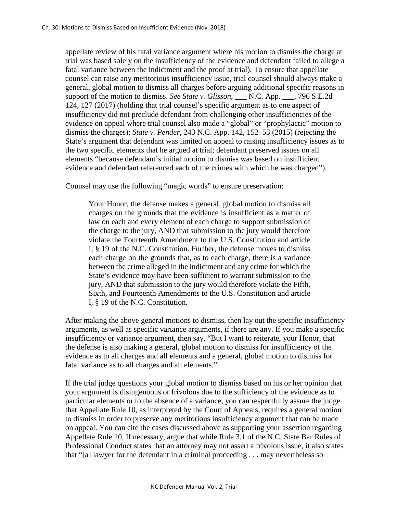appellate review of his fatal variance argument where his motion to dismiss the charge at trial was based solely on the insufficiency of the evidence and defendant failed to allege a fatal variance between the indictment and the proof at trial). To ensure that appellate counsel can raise any meritorious insufficiency issue, trial counsel should always make a general, global motion to dismiss all charges before arguing additional specific reasons in support of the motion to dismiss. *See State v. Glisson*, N.C. App. 1, 796 S.E.2d 124, 127 (2017) (holding that trial counsel's specific argument as to one aspect of insufficiency did not preclude defendant from challenging other insufficiencies of the evidence on appeal where trial counsel also made a "global" or "prophylactic" motion to dismiss the charges); *State v. Pender*, 243 N.C. App. 142, 152–53 (2015) (rejecting the State's argument that defendant was limited on appeal to raising insufficiency issues as to the two specific elements that he argued at trial; defendant preserved issues on all elements "because defendant's initial motion to dismiss was based on insufficient evidence and defendant referenced each of the crimes with which he was charged").

Counsel may use the following "magic words" to ensure preservation:

Your Honor, the defense makes a general, global motion to dismiss all charges on the grounds that the evidence is insufficient as a matter of law on each and every element of each charge to support submission of the charge to the jury, AND that submission to the jury would therefore violate the Fourteenth Amendment to the U.S. Constitution and article I, § 19 of the N.C. Constitution. Further, the defense moves to dismiss each charge on the grounds that, as to each charge, there is a variance between the crime alleged in the indictment and any crime for which the State's evidence may have been sufficient to warrant submission to the jury, AND that submission to the jury would therefore violate the Fifth, Sixth, and Fourteenth Amendments to the U.S. Constitution and article I, § 19 of the N.C. Constitution.

After making the above general motions to dismiss, then lay out the specific insufficiency arguments, as well as specific variance arguments, if there are any. If you make a specific insufficiency or variance argument, then say, "But I want to reiterate, your Honor, that the defense is also making a general, global motion to dismiss for insufficiency of the evidence as to all charges and all elements and a general, global motion to dismiss for fatal variance as to all charges and all elements."

If the trial judge questions your global motion to dismiss based on his or her opinion that your argument is disingenuous or frivolous due to the sufficiency of the evidence as to particular elements or to the absence of a variance, you can respectfully assure the judge that Appellate Rule 10, as interpreted by the Court of Appeals, requires a general motion to dismiss in order to preserve any meritorious insufficiency argument that can be made on appeal. You can cite the cases discussed above as supporting your assertion regarding Appellate Rule 10. If necessary, argue that while Rule 3.1 of the N.C. State Bar Rules of Professional Conduct states that an attorney may not assert a frivolous issue, it also states that "[a] lawyer for the defendant in a criminal proceeding . . . may nevertheless so